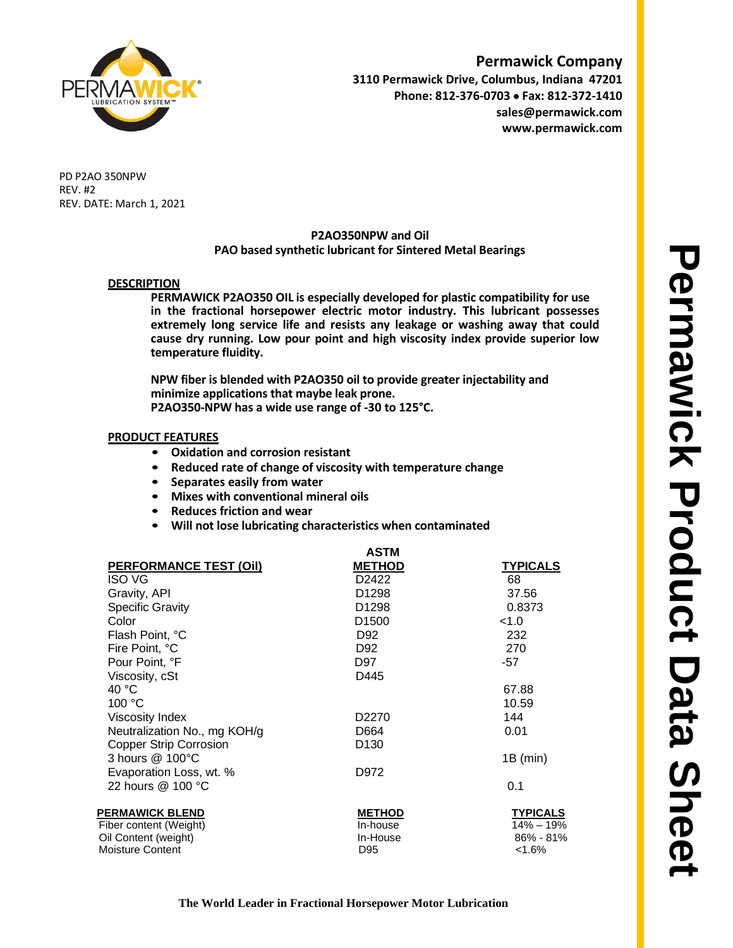

**Permawick Company 3110 Permawick Drive, Columbus, Indiana 47201 Phone: 812-376-0703** • **Fax: 812-372-1410 sales@permawick.com www.permawick.com**

PD P2AO 350NPW REV. #2 REV. DATE: March 1, 2021

## **P2AO350NPW and Oil PAO based synthetic lubricant for Sintered Metal Bearings**

## **DESCRIPTION**

**PERMAWICK P2AO350 OIL is especially developed for plastic compatibility for use in the fractional horsepower electric motor industry. This lubricant possesses extremely long service life and resists any leakage or washing away that could cause dry running. Low pour point and high viscosity index provide superior low temperature fluidity.**

**NPW fiber is blended with P2AO350 oil to provide greater injectability and minimize applications that maybe leak prone. P2AO350-NPW has a wide use range of -30 to 125°C.**

## **PRODUCT FEATURES**

- **Oxidation and corrosion resistant**
- **Reduced rate of change of viscosity with temperature change**
- **Separates easily from water**
- **Mixes with conventional mineral oils**
- **Reduces friction and wear**
- **Will not lose lubricating characteristics when contaminated**

|                               | <b>ASTM</b>       |                 |
|-------------------------------|-------------------|-----------------|
| <b>PERFORMANCE TEST (Oil)</b> | <b>METHOD</b>     | <b>TYPICALS</b> |
| <b>ISO VG</b>                 | D <sub>2422</sub> | 68              |
| Gravity, API                  | D1298             | 37.56           |
| <b>Specific Gravity</b>       | D <sub>1298</sub> | 0.8373          |
| Color                         | D <sub>1500</sub> | < 1.0           |
| Flash Point, °C               | D <sub>92</sub>   | 232             |
| Fire Point, °C                | D92               | 270             |
| Pour Point, °F                | D97               | -57             |
| Viscosity, cSt                | D445              |                 |
| 40 °C                         |                   | 67.88           |
| 100 °C                        |                   | 10.59           |
| <b>Viscosity Index</b>        | D <sub>2270</sub> | 144             |
| Neutralization No., mg KOH/g  | D664              | 0.01            |
| <b>Copper Strip Corrosion</b> | D <sub>130</sub>  |                 |
| 3 hours @ 100°C               |                   | $1B$ (min)      |
| Evaporation Loss, wt. %       | D972              |                 |
| 22 hours @ 100 °C             |                   | 0.1             |
| <b>PERMAWICK BLEND</b>        | <b>METHOD</b>     | <b>TYPICALS</b> |
| Fiber content (Weight)        | In-house          | $14\% - 19\%$   |
| Oil Content (weight)          | In-House          | $86\% - 81\%$   |
| <b>Moisture Content</b>       | D <sub>95</sub>   | $< 1.6\%$       |